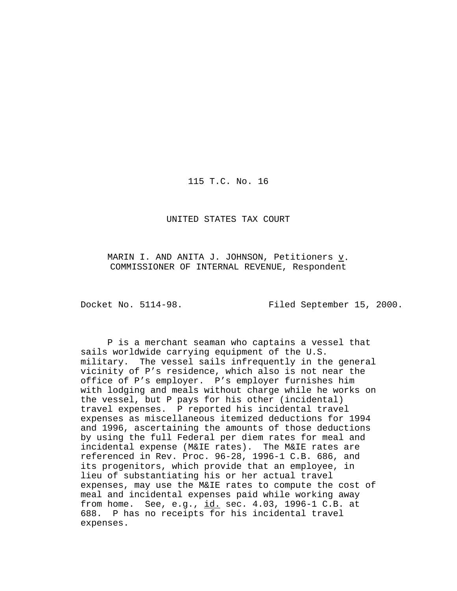115 T.C. No. 16

UNITED STATES TAX COURT

MARIN I. AND ANITA J. JOHNSON, Petitioners v. COMMISSIONER OF INTERNAL REVENUE, Respondent

Docket No. 5114-98. Filed September 15, 2000.

P is a merchant seaman who captains a vessel that sails worldwide carrying equipment of the U.S. military. The vessel sails infrequently in the general vicinity of P's residence, which also is not near the office of P's employer. P's employer furnishes him with lodging and meals without charge while he works on the vessel, but P pays for his other (incidental) travel expenses. P reported his incidental travel expenses as miscellaneous itemized deductions for 1994 and 1996, ascertaining the amounts of those deductions by using the full Federal per diem rates for meal and incidental expense (M&IE rates). The M&IE rates are referenced in Rev. Proc. 96-28, 1996-1 C.B. 686, and its progenitors, which provide that an employee, in lieu of substantiating his or her actual travel expenses, may use the M&IE rates to compute the cost of meal and incidental expenses paid while working away from home. See, e.g., id. sec. 4.03, 1996-1 C.B. at 688. P has no receipts for his incidental travel expenses.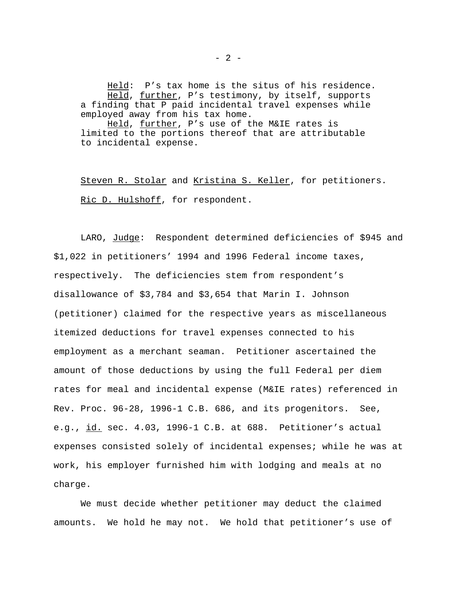Held: P's tax home is the situs of his residence. Held, further, P's testimony, by itself, supports a finding that P paid incidental travel expenses while employed away from his tax home.

Held, further, P's use of the M&IE rates is limited to the portions thereof that are attributable to incidental expense.

Steven R. Stolar and Kristina S. Keller, for petitioners. Ric D. Hulshoff, for respondent.

LARO, Judge: Respondent determined deficiencies of \$945 and \$1,022 in petitioners' 1994 and 1996 Federal income taxes, respectively. The deficiencies stem from respondent's disallowance of \$3,784 and \$3,654 that Marin I. Johnson (petitioner) claimed for the respective years as miscellaneous itemized deductions for travel expenses connected to his employment as a merchant seaman. Petitioner ascertained the amount of those deductions by using the full Federal per diem rates for meal and incidental expense (M&IE rates) referenced in Rev. Proc. 96-28, 1996-1 C.B. 686, and its progenitors. See, e.g., id. sec. 4.03, 1996-1 C.B. at 688. Petitioner's actual expenses consisted solely of incidental expenses; while he was at work, his employer furnished him with lodging and meals at no charge.

We must decide whether petitioner may deduct the claimed amounts. We hold he may not. We hold that petitioner's use of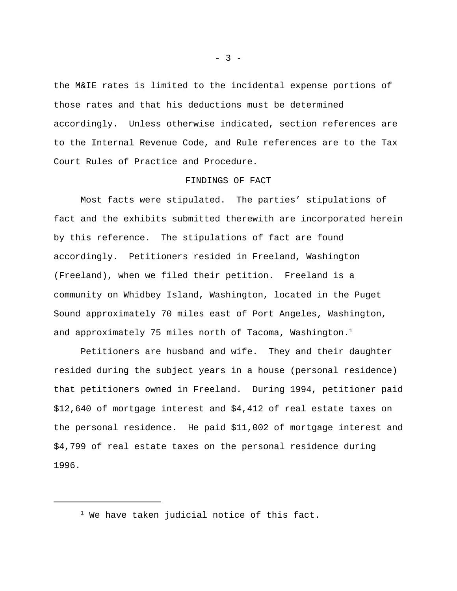the M&IE rates is limited to the incidental expense portions of those rates and that his deductions must be determined accordingly. Unless otherwise indicated, section references are to the Internal Revenue Code, and Rule references are to the Tax Court Rules of Practice and Procedure.

## FINDINGS OF FACT

Most facts were stipulated. The parties' stipulations of fact and the exhibits submitted therewith are incorporated herein by this reference. The stipulations of fact are found accordingly. Petitioners resided in Freeland, Washington (Freeland), when we filed their petition. Freeland is a community on Whidbey Island, Washington, located in the Puget Sound approximately 70 miles east of Port Angeles, Washington, and approximately 75 miles north of Tacoma, Washington.<sup>1</sup>

Petitioners are husband and wife. They and their daughter resided during the subject years in a house (personal residence) that petitioners owned in Freeland. During 1994, petitioner paid \$12,640 of mortgage interest and \$4,412 of real estate taxes on the personal residence. He paid \$11,002 of mortgage interest and \$4,799 of real estate taxes on the personal residence during 1996.

 $- 3 -$ 

 $1$  We have taken judicial notice of this fact.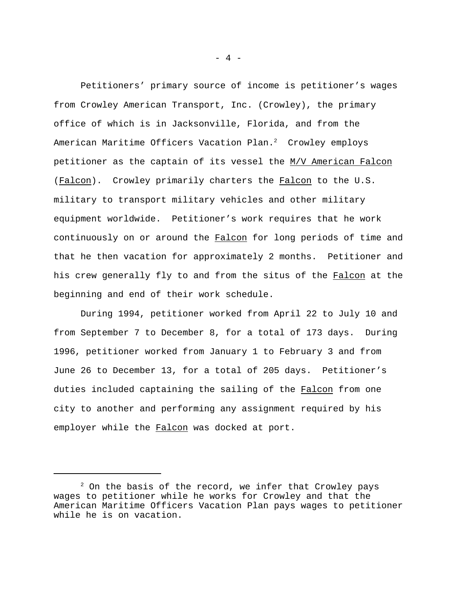Petitioners' primary source of income is petitioner's wages from Crowley American Transport, Inc. (Crowley), the primary office of which is in Jacksonville, Florida, and from the American Maritime Officers Vacation Plan.<sup>2</sup> Crowley employs petitioner as the captain of its vessel the M/V American Falcon (Falcon). Crowley primarily charters the Falcon to the U.S. military to transport military vehicles and other military equipment worldwide. Petitioner's work requires that he work continuously on or around the Falcon for long periods of time and that he then vacation for approximately 2 months. Petitioner and his crew generally fly to and from the situs of the Falcon at the beginning and end of their work schedule.

During 1994, petitioner worked from April 22 to July 10 and from September 7 to December 8, for a total of 173 days. During 1996, petitioner worked from January 1 to February 3 and from June 26 to December 13, for a total of 205 days. Petitioner's duties included captaining the sailing of the Falcon from one city to another and performing any assignment required by his employer while the Falcon was docked at port.

- 4 -

 $2$  On the basis of the record, we infer that Crowley pays wages to petitioner while he works for Crowley and that the American Maritime Officers Vacation Plan pays wages to petitioner while he is on vacation.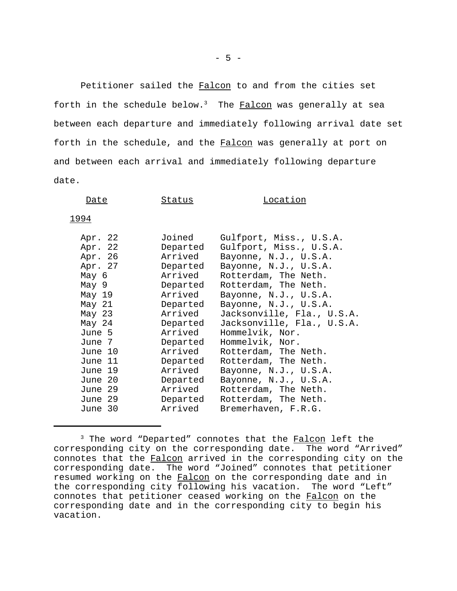Petitioner sailed the Falcon to and from the cities set forth in the schedule below. $3$  The Falcon was generally at sea between each departure and immediately following arrival date set forth in the schedule, and the Falcon was generally at port on and between each arrival and immediately following departure date.

| Date                                                       | Status                                                           | Location                                                                                                                                             |
|------------------------------------------------------------|------------------------------------------------------------------|------------------------------------------------------------------------------------------------------------------------------------------------------|
| 1994                                                       |                                                                  |                                                                                                                                                      |
| Apr. 22<br>Apr. 22<br>Apr. 26<br>Apr. 27<br>May 6<br>May 9 | Joined<br>Departed<br>Arrived<br>Departed<br>Arrived<br>Departed | Gulfport, Miss., U.S.A.<br>Gulfport, Miss., U.S.A.<br>Bayonne, N.J., U.S.A.<br>Bayonne, N.J., U.S.A.<br>Rotterdam, The Neth.<br>Rotterdam, The Neth. |
|                                                            |                                                                  |                                                                                                                                                      |

| Мау б    | Arrived  | Rotterdam, The Neth.       |
|----------|----------|----------------------------|
| May 9    | Departed | Rotterdam, The Neth.       |
| May 19   | Arrived  | Bayonne, N.J., U.S.A.      |
| May 21   | Departed | Bayonne, N.J., U.S.A.      |
| May $23$ | Arrived  | Jacksonville, Fla., U.S.A. |
| May 24   | Departed | Jacksonville, Fla., U.S.A. |
| June 5   | Arrived  | Hommelvik, Nor.            |
| June 7   | Departed | Hommelvik, Nor.            |
| June 10  | Arrived  | Rotterdam, The Neth.       |
| June 11  | Departed | Rotterdam, The Neth.       |
| June 19  | Arrived  | Bayonne, N.J., U.S.A.      |
| June 20  | Departed | Bayonne, N.J., U.S.A.      |
| June 29  | Arrived  | Rotterdam, The Neth.       |
| June 29  | Departed | Rotterdam, The Neth.       |
| June 30  | Arrived  | Bremerhaven, F.R.G.        |
|          |          |                            |

<sup>&</sup>lt;sup>3</sup> The word "Departed" connotes that the Falcon left the corresponding city on the corresponding date. The word "Arrived" connotes that the Falcon arrived in the corresponding city on the corresponding date. The word "Joined" connotes that petitioner resumed working on the Falcon on the corresponding date and in the corresponding city following his vacation. The word "Left" connotes that petitioner ceased working on the Falcon on the corresponding date and in the corresponding city to begin his vacation.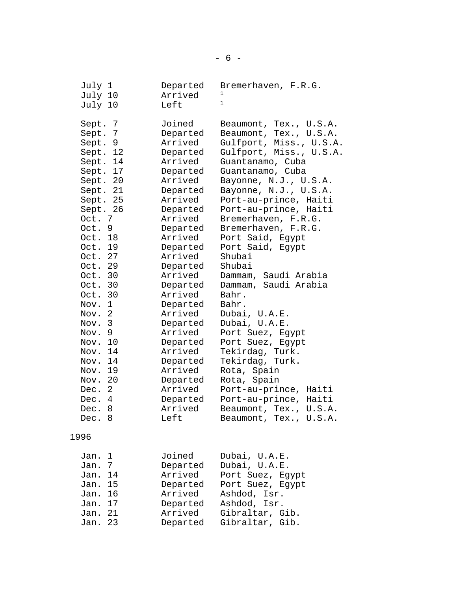| July 1<br>July 10<br>July 10                                                                                                                                                                                                                                                                                                                                                                    | Departed<br>Arrived<br>Left                                                                                                                                                                                                                                                                                                                                             | Bremerhaven, F.R.G.<br>$\mathbf{1}$                                                                                                                                                                                                                                                                                                                                                                                                                                                                                                                                                                                                                         |
|-------------------------------------------------------------------------------------------------------------------------------------------------------------------------------------------------------------------------------------------------------------------------------------------------------------------------------------------------------------------------------------------------|-------------------------------------------------------------------------------------------------------------------------------------------------------------------------------------------------------------------------------------------------------------------------------------------------------------------------------------------------------------------------|-------------------------------------------------------------------------------------------------------------------------------------------------------------------------------------------------------------------------------------------------------------------------------------------------------------------------------------------------------------------------------------------------------------------------------------------------------------------------------------------------------------------------------------------------------------------------------------------------------------------------------------------------------------|
| Sept. 7<br>7<br>Sept.<br>Sept. 9<br>Sept. 12<br>Sept. 14<br>Sept. 17<br>Sept. 20<br>Sept. 21<br>Sept. 25<br>Sept. 26<br>Oct. 7<br>Oct. 9<br>Oct. 18<br>Oct. 19<br>Oct. 27<br>Oct. 29<br>Oct. 30<br>Oct. 30<br>Oct. 30<br>$\mathbf{1}$<br>Nov.<br>2<br>Nov.<br>3<br>Nov.<br>9<br>Nov.<br>Nov. 10<br>Nov. 14<br>Nov. 14<br>19<br>Nov.<br>Nov. 20<br>2<br>Dec.<br>4<br>Dec.<br>Dec.<br>8<br>Dec. 8 | Joined<br>Departed<br>Arrived<br>Departed<br>Arrived<br>Departed<br>Arrived<br>Departed<br>Arrived<br>Departed<br>Arrived<br>Departed<br>Arrived<br>Departed<br>Arrived<br>Departed<br>Arrived<br>Departed<br>Arrived<br>Departed<br>Arrived<br>Departed<br>Arrived<br>Departed<br>Arrived<br>Departed<br>Arrived<br>Departed<br>Arrived<br>Departed<br>Arrived<br>Left | Beaumont, Tex., U.S.A.<br>Beaumont, Tex., U.S.A.<br>Gulfport, Miss., U.S.A.<br>Gulfport, Miss., U.S.A.<br>Guantanamo, Cuba<br>Guantanamo, Cuba<br>Bayonne, N.J., U.S.A.<br>Bayonne, N.J., U.S.A.<br>Port-au-prince, Haiti<br>Port-au-prince, Haiti<br>Bremerhaven, F.R.G.<br>Bremerhaven, F.R.G.<br>Port Said, Egypt<br>Port Said, Egypt<br>Shubai<br>Shubai<br>Dammam, Saudi Arabia<br>Dammam, Saudi Arabia<br>Bahr.<br>Bahr.<br>Dubai, U.A.E.<br>Dubai, U.A.E.<br>Port Suez, Egypt<br>Port Suez, Egypt<br>Tekirdag, Turk.<br>Tekirdag, Turk.<br>Rota, Spain<br>Rota, Spain<br>Port-au-prince, Haiti<br>Port-au-prince, Haiti<br>U.S.A.<br>Beaumont, Tex., |
| <u> 1996</u>                                                                                                                                                                                                                                                                                                                                                                                    |                                                                                                                                                                                                                                                                                                                                                                         | Beaumont, Tex., U.S.A.                                                                                                                                                                                                                                                                                                                                                                                                                                                                                                                                                                                                                                      |
| 1<br>Jan.                                                                                                                                                                                                                                                                                                                                                                                       | Joined                                                                                                                                                                                                                                                                                                                                                                  | Dubai, U.A.E.                                                                                                                                                                                                                                                                                                                                                                                                                                                                                                                                                                                                                                               |
| 7<br>Jan.                                                                                                                                                                                                                                                                                                                                                                                       | Departed                                                                                                                                                                                                                                                                                                                                                                | Dubai, U.A.E.                                                                                                                                                                                                                                                                                                                                                                                                                                                                                                                                                                                                                                               |
| 14<br>Jan.                                                                                                                                                                                                                                                                                                                                                                                      | Arrived                                                                                                                                                                                                                                                                                                                                                                 | Port Suez,<br>Egypt                                                                                                                                                                                                                                                                                                                                                                                                                                                                                                                                                                                                                                         |
| 15<br>Jan.                                                                                                                                                                                                                                                                                                                                                                                      | Departed                                                                                                                                                                                                                                                                                                                                                                | Port Suez, Egypt                                                                                                                                                                                                                                                                                                                                                                                                                                                                                                                                                                                                                                            |
| 16<br>Jan.                                                                                                                                                                                                                                                                                                                                                                                      | Arrived                                                                                                                                                                                                                                                                                                                                                                 | Ashdod, Isr.                                                                                                                                                                                                                                                                                                                                                                                                                                                                                                                                                                                                                                                |
| 17<br>Jan.                                                                                                                                                                                                                                                                                                                                                                                      | Departed                                                                                                                                                                                                                                                                                                                                                                | Ashdod, Isr.                                                                                                                                                                                                                                                                                                                                                                                                                                                                                                                                                                                                                                                |
| 21<br>Jan.                                                                                                                                                                                                                                                                                                                                                                                      | Arrived                                                                                                                                                                                                                                                                                                                                                                 | Gibraltar, Gib.                                                                                                                                                                                                                                                                                                                                                                                                                                                                                                                                                                                                                                             |

Jan. 23 Departed Gibraltar, Gib.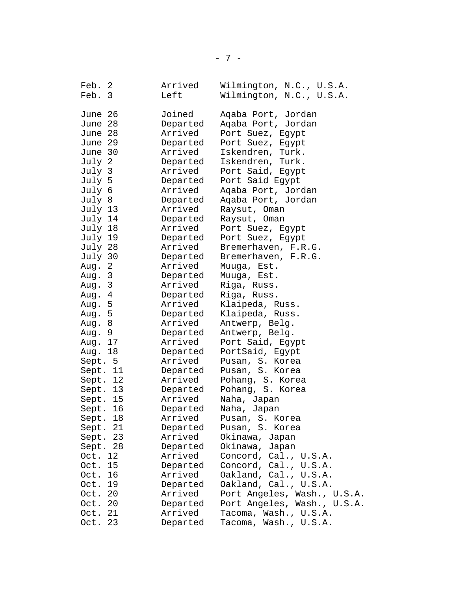| Feb.     | -2 | Arrived  | Wilmington, N.C., U.S.A.    |
|----------|----|----------|-----------------------------|
| Feb. 3   |    | Left     | Wilmington, N.C., U.S.A.    |
|          |    |          |                             |
| June 26  |    | Joined   | Aqaba Port, Jordan          |
| June 28  |    | Departed | Aqaba Port, Jordan          |
| June 28  |    | Arrived  | Port Suez, Egypt            |
| June 29  |    | Departed | Port Suez, Egypt            |
| June 30  |    | Arrived  | Iskendren, Turk.            |
| July 2   |    | Departed | Iskendren, Turk.            |
| July 3   |    | Arrived  | Port Said, Egypt            |
| July 5   |    | Departed | Port Said Egypt             |
| July 6   |    | Arrived  | Aqaba Port, Jordan          |
| July 8   |    | Departed | Aqaba Port, Jordan          |
| July 13  |    | Arrived  | Raysut, Oman                |
| July 14  |    | Departed | Raysut, Oman                |
| July 18  |    | Arrived  | Port Suez, Egypt            |
| July 19  |    | Departed | Port Suez, Egypt            |
| July 28  |    | Arrived  | Bremerhaven, F.R.G.         |
| July 30  |    | Departed | Bremerhaven, F.R.G.         |
| Aug. 2   |    | Arrived  | Muuga, Est.                 |
| Aug. 3   |    | Departed | Muuga, Est.                 |
| Aug. 3   |    | Arrived  | Riga, Russ.                 |
| Aug. 4   |    | Departed | Riga, Russ.                 |
| Aug. 5   |    | Arrived  | Klaipeda, Russ.             |
| Aug. 5   |    | Departed | Klaipeda, Russ.             |
| Aug. 8   |    | Arrived  | Antwerp, Belg.              |
| Aug.     | 9  | Departed | Antwerp, Belg.              |
| Aug. 17  |    | Arrived  | Port Said, Egypt            |
| Aug. 18  |    | Departed | PortSaid, Egypt             |
| Sept. 5  |    | Arrived  | Pusan, S. Korea             |
| Sept. 11 |    | Departed | Pusan, S. Korea             |
| Sept. 12 |    | Arrived  | Pohang, S. Korea            |
| Sept. 13 |    | Departed | Pohang, S. Korea            |
| Sept. 15 |    | Arrived  | Naha, Japan                 |
| Sept. 16 |    | Departed | Naha, Japan                 |
| Sept. 18 |    | Arrived  | Pusan, S. Korea             |
| Sept.    | 21 | Departed | Pusan, S. Korea             |
| Sept.    | 23 | Arrived  | Okinawa,<br>Japan           |
| Sept.    | 28 | Departed | Okinawa,<br>Japan           |
| Oct.     | 12 | Arrived  | Concord, Cal., U.S.A.       |
| Oct.     | 15 | Departed | Concord, Cal., U.S.A.       |
| Oct.     | 16 | Arrived  | Oakland, Cal., U.S.A.       |
| Oct.     | 19 | Departed | Oakland, Cal., U.S.A.       |
| Oct.     | 20 | Arrived  | Port Angeles, Wash., U.S.A. |
| Oct.     | 20 | Departed | Port Angeles, Wash., U.S.A. |
| Oct.     | 21 | Arrived  | Tacoma, Wash., U.S.A.       |
| Oct.     | 23 | Departed | Tacoma, Wash., U.S.A.       |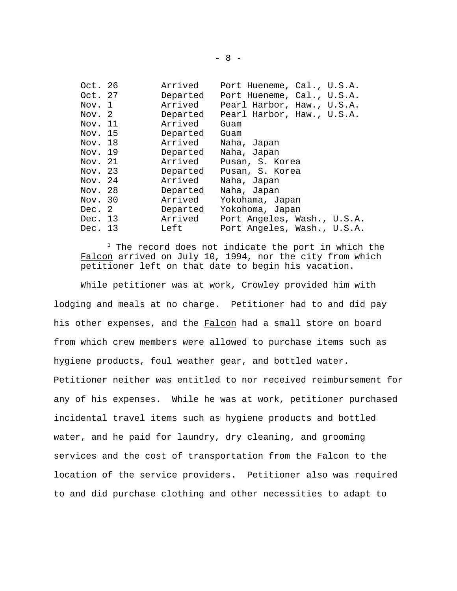| Oct. 26 | Arrived  | Port Hueneme, Cal., U.S.A.  |
|---------|----------|-----------------------------|
| Oct. 27 | Departed | Port Hueneme, Cal., U.S.A.  |
| Nov. 1  | Arrived  | Pearl Harbor, Haw., U.S.A.  |
| Nov. 2  | Departed | Pearl Harbor, Haw., U.S.A.  |
| Nov. 11 | Arrived  | Guam                        |
| Nov. 15 | Departed | Guam                        |
| Nov. 18 | Arrived  | Naha, Japan                 |
| Nov. 19 | Departed | Naha, Japan                 |
| Nov. 21 | Arrived  | Pusan, S. Korea             |
| Nov. 23 | Departed | Pusan, S. Korea             |
| Nov. 24 | Arrived  | Naha, Japan                 |
| Nov. 28 | Departed | Naha, Japan                 |
| Nov. 30 | Arrived  | Yokohama, Japan             |
| Dec. 2  | Departed | Yokohoma, Japan             |
| Dec. 13 | Arrived  | Port Angeles, Wash., U.S.A. |
| Dec. 13 | Left     | Port Angeles, Wash., U.S.A. |

 $1$  The record does not indicate the port in which the Falcon arrived on July 10, 1994, nor the city from which petitioner left on that date to begin his vacation.

While petitioner was at work, Crowley provided him with lodging and meals at no charge. Petitioner had to and did pay his other expenses, and the Falcon had a small store on board from which crew members were allowed to purchase items such as hygiene products, foul weather gear, and bottled water. Petitioner neither was entitled to nor received reimbursement for any of his expenses. While he was at work, petitioner purchased incidental travel items such as hygiene products and bottled water, and he paid for laundry, dry cleaning, and grooming services and the cost of transportation from the Falcon to the location of the service providers. Petitioner also was required to and did purchase clothing and other necessities to adapt to

- 8 -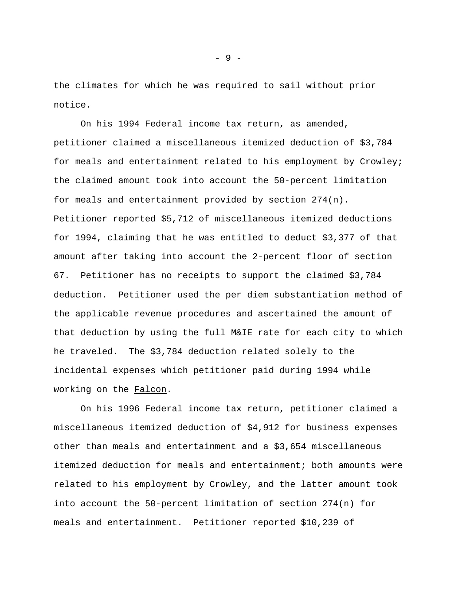the climates for which he was required to sail without prior notice.

On his 1994 Federal income tax return, as amended, petitioner claimed a miscellaneous itemized deduction of \$3,784 for meals and entertainment related to his employment by Crowley; the claimed amount took into account the 50-percent limitation for meals and entertainment provided by section 274(n). Petitioner reported \$5,712 of miscellaneous itemized deductions for 1994, claiming that he was entitled to deduct \$3,377 of that amount after taking into account the 2-percent floor of section 67. Petitioner has no receipts to support the claimed \$3,784 deduction. Petitioner used the per diem substantiation method of the applicable revenue procedures and ascertained the amount of that deduction by using the full M&IE rate for each city to which he traveled. The \$3,784 deduction related solely to the incidental expenses which petitioner paid during 1994 while working on the Falcon.

On his 1996 Federal income tax return, petitioner claimed a miscellaneous itemized deduction of \$4,912 for business expenses other than meals and entertainment and a \$3,654 miscellaneous itemized deduction for meals and entertainment; both amounts were related to his employment by Crowley, and the latter amount took into account the 50-percent limitation of section 274(n) for meals and entertainment. Petitioner reported \$10,239 of

- 9 -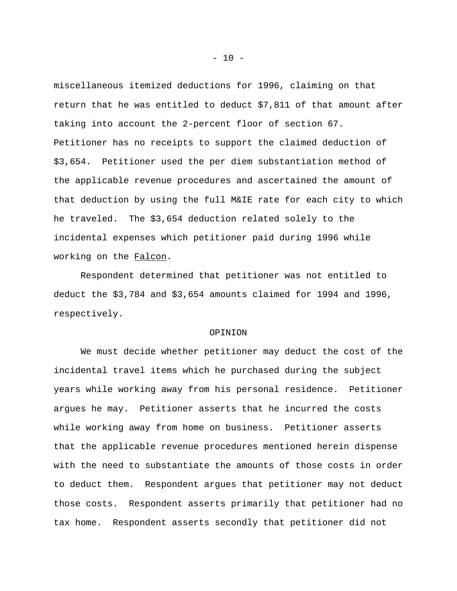miscellaneous itemized deductions for 1996, claiming on that return that he was entitled to deduct \$7,811 of that amount after taking into account the 2-percent floor of section 67. Petitioner has no receipts to support the claimed deduction of \$3,654. Petitioner used the per diem substantiation method of the applicable revenue procedures and ascertained the amount of that deduction by using the full M&IE rate for each city to which he traveled. The \$3,654 deduction related solely to the incidental expenses which petitioner paid during 1996 while working on the Falcon.

Respondent determined that petitioner was not entitled to deduct the \$3,784 and \$3,654 amounts claimed for 1994 and 1996, respectively.

## OPINION

We must decide whether petitioner may deduct the cost of the incidental travel items which he purchased during the subject years while working away from his personal residence. Petitioner argues he may. Petitioner asserts that he incurred the costs while working away from home on business. Petitioner asserts that the applicable revenue procedures mentioned herein dispense with the need to substantiate the amounts of those costs in order to deduct them. Respondent argues that petitioner may not deduct those costs. Respondent asserts primarily that petitioner had no tax home. Respondent asserts secondly that petitioner did not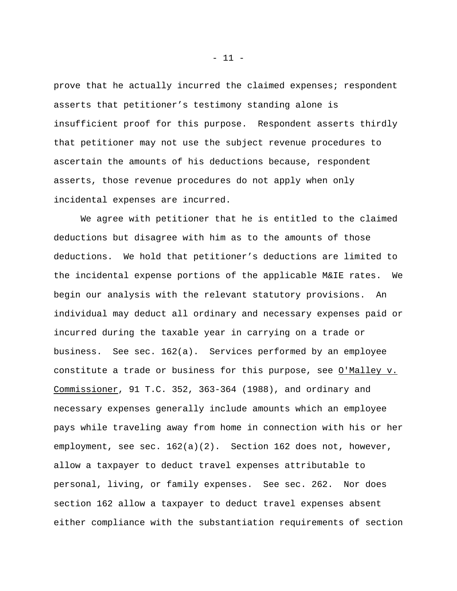prove that he actually incurred the claimed expenses; respondent asserts that petitioner's testimony standing alone is insufficient proof for this purpose. Respondent asserts thirdly that petitioner may not use the subject revenue procedures to ascertain the amounts of his deductions because, respondent asserts, those revenue procedures do not apply when only incidental expenses are incurred.

We agree with petitioner that he is entitled to the claimed deductions but disagree with him as to the amounts of those deductions. We hold that petitioner's deductions are limited to the incidental expense portions of the applicable M&IE rates. We begin our analysis with the relevant statutory provisions. An individual may deduct all ordinary and necessary expenses paid or incurred during the taxable year in carrying on a trade or business. See sec. 162(a). Services performed by an employee constitute a trade or business for this purpose, see O'Malley v. Commissioner, 91 T.C. 352, 363-364 (1988), and ordinary and necessary expenses generally include amounts which an employee pays while traveling away from home in connection with his or her employment, see sec. 162(a)(2). Section 162 does not, however, allow a taxpayer to deduct travel expenses attributable to personal, living, or family expenses. See sec. 262. Nor does section 162 allow a taxpayer to deduct travel expenses absent either compliance with the substantiation requirements of section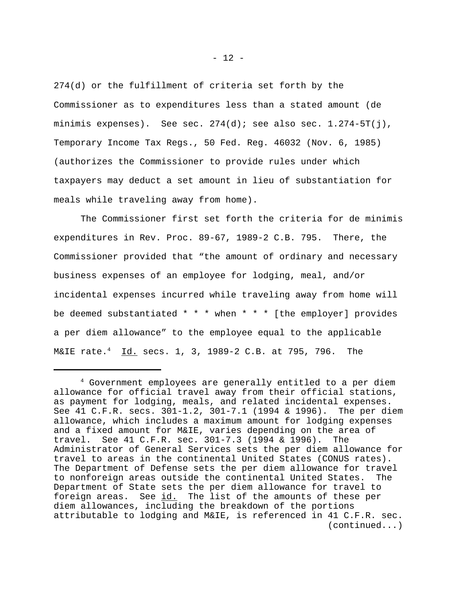274(d) or the fulfillment of criteria set forth by the Commissioner as to expenditures less than a stated amount (de minimis expenses). See sec.  $274(d)$ ; see also sec.  $1.274-5T(j)$ , Temporary Income Tax Regs., 50 Fed. Reg. 46032 (Nov. 6, 1985) (authorizes the Commissioner to provide rules under which taxpayers may deduct a set amount in lieu of substantiation for meals while traveling away from home).

The Commissioner first set forth the criteria for de minimis expenditures in Rev. Proc. 89-67, 1989-2 C.B. 795. There, the Commissioner provided that "the amount of ordinary and necessary business expenses of an employee for lodging, meal, and/or incidental expenses incurred while traveling away from home will be deemed substantiated  $* * *$  when  $* * *$  [the employer] provides a per diem allowance" to the employee equal to the applicable M&IE rate.<sup>4</sup> Id. secs. 1, 3, 1989-2 C.B. at 795, 796. The

<sup>4</sup> Government employees are generally entitled to a per diem allowance for official travel away from their official stations, as payment for lodging, meals, and related incidental expenses. See 41 C.F.R. secs. 301-1.2, 301-7.1 (1994 & 1996). The per diem allowance, which includes a maximum amount for lodging expenses and a fixed amount for M&IE, varies depending on the area of travel. See 41 C.F.R. sec. 301-7.3 (1994 & 1996). The Administrator of General Services sets the per diem allowance for travel to areas in the continental United States (CONUS rates). The Department of Defense sets the per diem allowance for travel to nonforeign areas outside the continental United States. The Department of State sets the per diem allowance for travel to foreign areas. See id. The list of the amounts of these per diem allowances, including the breakdown of the portions attributable to lodging and M&IE, is referenced in 41 C.F.R. sec. (continued...)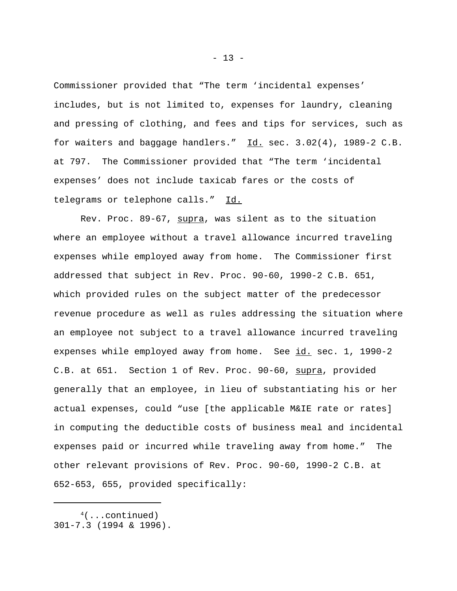Commissioner provided that "The term 'incidental expenses' includes, but is not limited to, expenses for laundry, cleaning and pressing of clothing, and fees and tips for services, such as for waiters and baggage handlers."  $Id.$  sec. 3.02(4), 1989-2 C.B. at 797. The Commissioner provided that "The term 'incidental expenses' does not include taxicab fares or the costs of telegrams or telephone calls." Id.

Rev. Proc. 89-67, supra, was silent as to the situation where an employee without a travel allowance incurred traveling expenses while employed away from home. The Commissioner first addressed that subject in Rev. Proc. 90-60, 1990-2 C.B. 651, which provided rules on the subject matter of the predecessor revenue procedure as well as rules addressing the situation where an employee not subject to a travel allowance incurred traveling expenses while employed away from home. See id. sec. 1, 1990-2 C.B. at 651. Section 1 of Rev. Proc. 90-60, supra, provided generally that an employee, in lieu of substantiating his or her actual expenses, could "use [the applicable M&IE rate or rates] in computing the deductible costs of business meal and incidental expenses paid or incurred while traveling away from home." The other relevant provisions of Rev. Proc. 90-60, 1990-2 C.B. at 652-653, 655, provided specifically:

 $4($ ...continued)

<sup>301-7.3 (1994 &</sup>amp; 1996).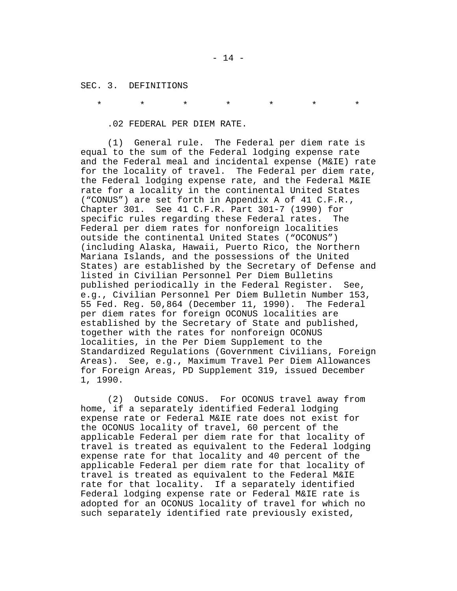SEC. 3. DEFINITIONS

\* \* \* \* \* \* \*

.02 FEDERAL PER DIEM RATE.

(1) General rule. The Federal per diem rate is equal to the sum of the Federal lodging expense rate and the Federal meal and incidental expense (M&IE) rate for the locality of travel. The Federal per diem rate, the Federal lodging expense rate, and the Federal M&IE rate for a locality in the continental United States ("CONUS") are set forth in Appendix A of 41 C.F.R., Chapter 301. See 41 C.F.R. Part 301-7 (1990) for specific rules regarding these Federal rates. The Federal per diem rates for nonforeign localities outside the continental United States ("OCONUS") (including Alaska, Hawaii, Puerto Rico, the Northern Mariana Islands, and the possessions of the United States) are established by the Secretary of Defense and listed in Civilian Personnel Per Diem Bulletins published periodically in the Federal Register. See, e.g., Civilian Personnel Per Diem Bulletin Number 153, 55 Fed. Reg. 50,864 (December 11, 1990). The Federal per diem rates for foreign OCONUS localities are established by the Secretary of State and published, together with the rates for nonforeign OCONUS localities, in the Per Diem Supplement to the Standardized Regulations (Government Civilians, Foreign Areas). See, e.g., Maximum Travel Per Diem Allowances for Foreign Areas, PD Supplement 319, issued December 1, 1990.

(2) Outside CONUS. For OCONUS travel away from home, if a separately identified Federal lodging expense rate or Federal M&IE rate does not exist for the OCONUS locality of travel, 60 percent of the applicable Federal per diem rate for that locality of travel is treated as equivalent to the Federal lodging expense rate for that locality and 40 percent of the applicable Federal per diem rate for that locality of travel is treated as equivalent to the Federal M&IE rate for that locality. If a separately identified Federal lodging expense rate or Federal M&IE rate is adopted for an OCONUS locality of travel for which no such separately identified rate previously existed,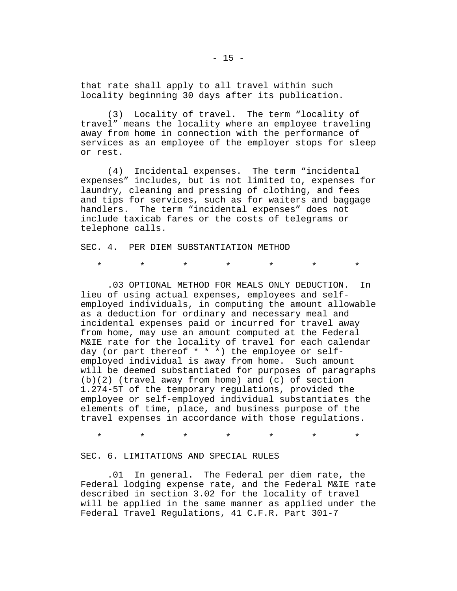that rate shall apply to all travel within such locality beginning 30 days after its publication.

(3) Locality of travel. The term "locality of travel" means the locality where an employee traveling away from home in connection with the performance of services as an employee of the employer stops for sleep or rest.

(4) Incidental expenses. The term "incidental expenses" includes, but is not limited to, expenses for laundry, cleaning and pressing of clothing, and fees and tips for services, such as for waiters and baggage handlers. The term "incidental expenses" does not include taxicab fares or the costs of telegrams or telephone calls.

SEC. 4. PER DIEM SUBSTANTIATION METHOD

\* \* \* \* \* \* \*

.03 OPTIONAL METHOD FOR MEALS ONLY DEDUCTION. In lieu of using actual expenses, employees and selfemployed individuals, in computing the amount allowable as a deduction for ordinary and necessary meal and incidental expenses paid or incurred for travel away from home, may use an amount computed at the Federal M&IE rate for the locality of travel for each calendar day (or part thereof \* \* \*) the employee or selfemployed individual is away from home. Such amount will be deemed substantiated for purposes of paragraphs (b)(2) (travel away from home) and (c) of section 1.274-5T of the temporary regulations, provided the employee or self-employed individual substantiates the elements of time, place, and business purpose of the travel expenses in accordance with those regulations.

\* \* \* \* \* \* \*

SEC. 6. LIMITATIONS AND SPECIAL RULES

.01 In general. The Federal per diem rate, the Federal lodging expense rate, and the Federal M&IE rate described in section 3.02 for the locality of travel will be applied in the same manner as applied under the Federal Travel Regulations, 41 C.F.R. Part 301-7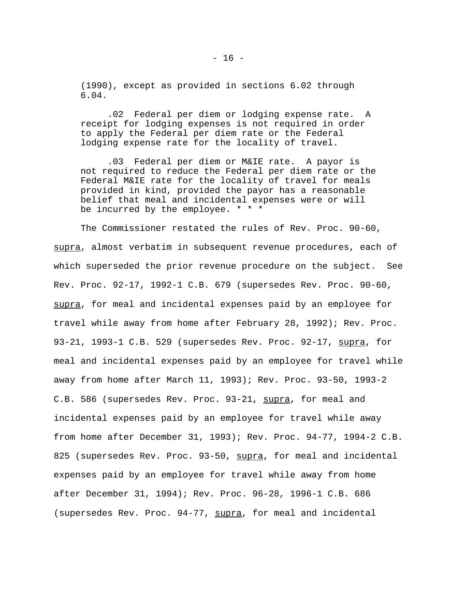(1990), except as provided in sections 6.02 through 6.04.

.02 Federal per diem or lodging expense rate. A receipt for lodging expenses is not required in order to apply the Federal per diem rate or the Federal lodging expense rate for the locality of travel.

.03 Federal per diem or M&IE rate. A payor is not required to reduce the Federal per diem rate or the Federal M&IE rate for the locality of travel for meals provided in kind, provided the payor has a reasonable belief that meal and incidental expenses were or will be incurred by the employee. \* \* \*

The Commissioner restated the rules of Rev. Proc. 90-60, supra, almost verbatim in subsequent revenue procedures, each of which superseded the prior revenue procedure on the subject. See Rev. Proc. 92-17, 1992-1 C.B. 679 (supersedes Rev. Proc. 90-60, supra, for meal and incidental expenses paid by an employee for travel while away from home after February 28, 1992); Rev. Proc. 93-21, 1993-1 C.B. 529 (supersedes Rev. Proc. 92-17, supra, for meal and incidental expenses paid by an employee for travel while away from home after March 11, 1993); Rev. Proc. 93-50, 1993-2 C.B. 586 (supersedes Rev. Proc. 93-21, supra, for meal and incidental expenses paid by an employee for travel while away from home after December 31, 1993); Rev. Proc. 94-77, 1994-2 C.B. 825 (supersedes Rev. Proc. 93-50, supra, for meal and incidental expenses paid by an employee for travel while away from home after December 31, 1994); Rev. Proc. 96-28, 1996-1 C.B. 686 (supersedes Rev. Proc. 94-77, supra, for meal and incidental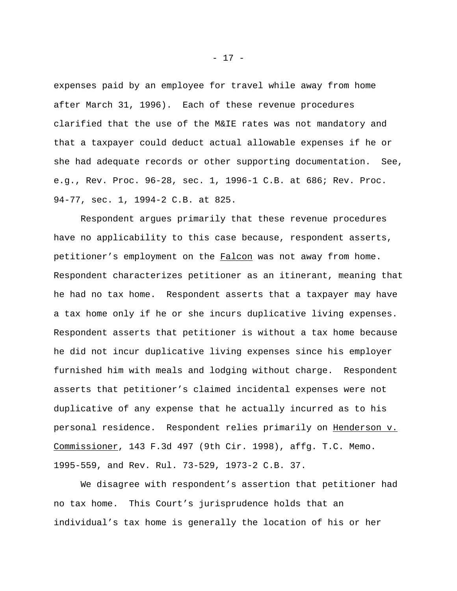expenses paid by an employee for travel while away from home after March 31, 1996). Each of these revenue procedures clarified that the use of the M&IE rates was not mandatory and that a taxpayer could deduct actual allowable expenses if he or she had adequate records or other supporting documentation. See, e.g., Rev. Proc. 96-28, sec. 1, 1996-1 C.B. at 686; Rev. Proc. 94-77, sec. 1, 1994-2 C.B. at 825.

Respondent argues primarily that these revenue procedures have no applicability to this case because, respondent asserts, petitioner's employment on the Falcon was not away from home. Respondent characterizes petitioner as an itinerant, meaning that he had no tax home. Respondent asserts that a taxpayer may have a tax home only if he or she incurs duplicative living expenses. Respondent asserts that petitioner is without a tax home because he did not incur duplicative living expenses since his employer furnished him with meals and lodging without charge. Respondent asserts that petitioner's claimed incidental expenses were not duplicative of any expense that he actually incurred as to his personal residence. Respondent relies primarily on Henderson v. Commissioner, 143 F.3d 497 (9th Cir. 1998), affg. T.C. Memo. 1995-559, and Rev. Rul. 73-529, 1973-2 C.B. 37.

We disagree with respondent's assertion that petitioner had no tax home. This Court's jurisprudence holds that an individual's tax home is generally the location of his or her

- 17 -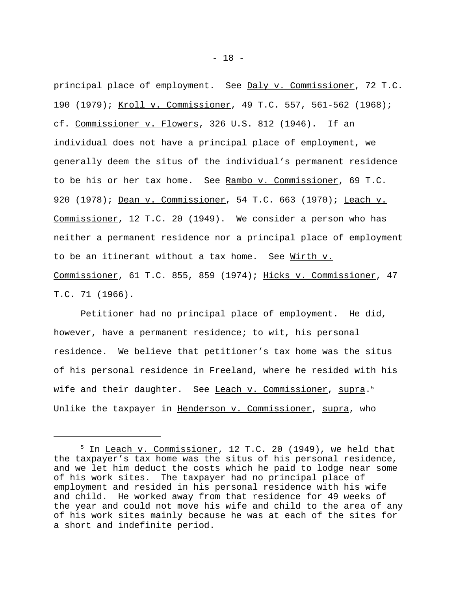principal place of employment. See Daly v. Commissioner, 72 T.C. 190 (1979); Kroll v. Commissioner, 49 T.C. 557, 561-562 (1968); cf. Commissioner v. Flowers, 326 U.S. 812 (1946). If an individual does not have a principal place of employment, we generally deem the situs of the individual's permanent residence to be his or her tax home. See Rambo v. Commissioner, 69 T.C. 920 (1978); Dean v. Commissioner, 54 T.C. 663 (1970); Leach v. Commissioner, 12 T.C. 20 (1949). We consider a person who has neither a permanent residence nor a principal place of employment to be an itinerant without a tax home. See Wirth v. Commissioner, 61 T.C. 855, 859 (1974); Hicks v. Commissioner, 47 T.C. 71 (1966).

Petitioner had no principal place of employment. He did, however, have a permanent residence; to wit, his personal residence. We believe that petitioner's tax home was the situs of his personal residence in Freeland, where he resided with his wife and their daughter. See <u>Leach v. Commissioner</u>, <u>supra</u>.<sup>5</sup> Unlike the taxpayer in Henderson v. Commissioner, supra, who

<sup>&</sup>lt;sup>5</sup> In Leach v. Commissioner, 12 T.C. 20 (1949), we held that the taxpayer's tax home was the situs of his personal residence, and we let him deduct the costs which he paid to lodge near some of his work sites. The taxpayer had no principal place of employment and resided in his personal residence with his wife and child. He worked away from that residence for 49 weeks of the year and could not move his wife and child to the area of any of his work sites mainly because he was at each of the sites for a short and indefinite period.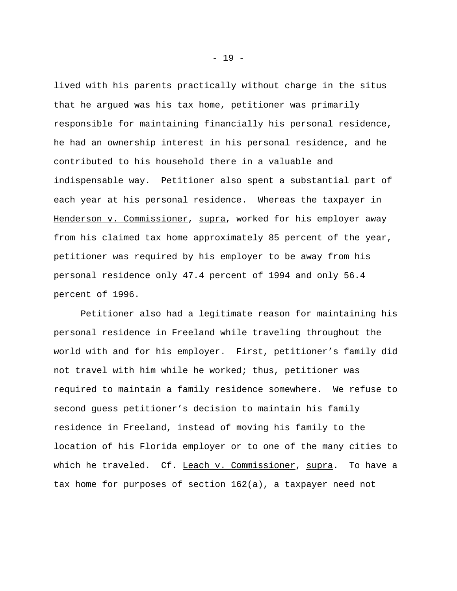lived with his parents practically without charge in the situs that he argued was his tax home, petitioner was primarily responsible for maintaining financially his personal residence, he had an ownership interest in his personal residence, and he contributed to his household there in a valuable and indispensable way. Petitioner also spent a substantial part of each year at his personal residence. Whereas the taxpayer in Henderson v. Commissioner, supra, worked for his employer away from his claimed tax home approximately 85 percent of the year, petitioner was required by his employer to be away from his personal residence only 47.4 percent of 1994 and only 56.4 percent of 1996.

Petitioner also had a legitimate reason for maintaining his personal residence in Freeland while traveling throughout the world with and for his employer. First, petitioner's family did not travel with him while he worked; thus, petitioner was required to maintain a family residence somewhere. We refuse to second guess petitioner's decision to maintain his family residence in Freeland, instead of moving his family to the location of his Florida employer or to one of the many cities to which he traveled. Cf. Leach v. Commissioner, supra. To have a tax home for purposes of section 162(a), a taxpayer need not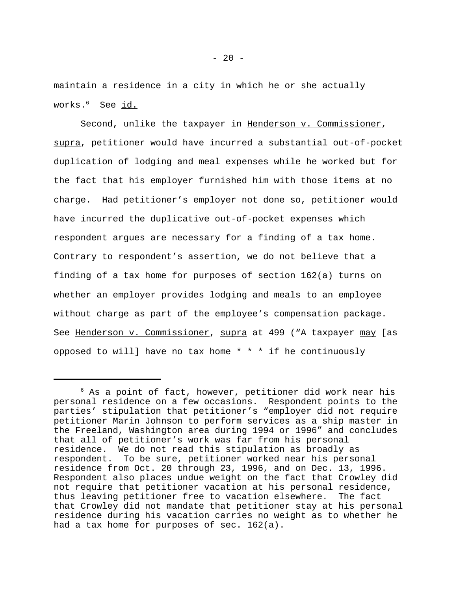maintain a residence in a city in which he or she actually works.<sup>6</sup> See id.

Second, unlike the taxpayer in Henderson v. Commissioner, supra, petitioner would have incurred a substantial out-of-pocket duplication of lodging and meal expenses while he worked but for the fact that his employer furnished him with those items at no charge. Had petitioner's employer not done so, petitioner would have incurred the duplicative out-of-pocket expenses which respondent argues are necessary for a finding of a tax home. Contrary to respondent's assertion, we do not believe that a finding of a tax home for purposes of section 162(a) turns on whether an employer provides lodging and meals to an employee without charge as part of the employee's compensation package. See Henderson v. Commissioner, supra at 499 ("A taxpayer may [as opposed to will] have no tax home  $* * * if$  he continuously

 $6$  As a point of fact, however, petitioner did work near his personal residence on a few occasions. Respondent points to the parties' stipulation that petitioner's "employer did not require petitioner Marin Johnson to perform services as a ship master in the Freeland, Washington area during 1994 or 1996" and concludes that all of petitioner's work was far from his personal residence. We do not read this stipulation as broadly as respondent. To be sure, petitioner worked near his personal residence from Oct. 20 through 23, 1996, and on Dec. 13, 1996. Respondent also places undue weight on the fact that Crowley did not require that petitioner vacation at his personal residence, thus leaving petitioner free to vacation elsewhere. The fact that Crowley did not mandate that petitioner stay at his personal residence during his vacation carries no weight as to whether he had a tax home for purposes of sec. 162(a).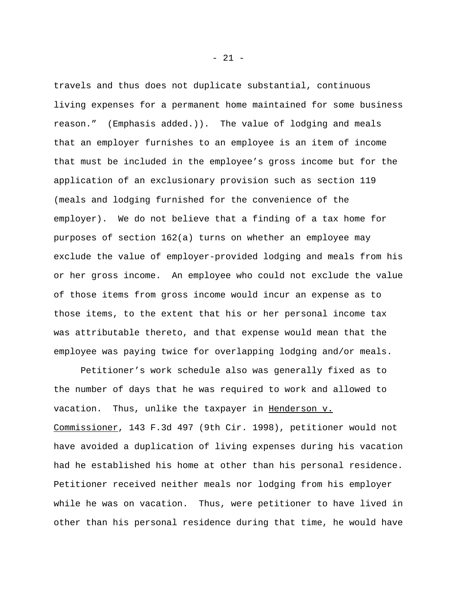travels and thus does not duplicate substantial, continuous living expenses for a permanent home maintained for some business reason." (Emphasis added.)). The value of lodging and meals that an employer furnishes to an employee is an item of income that must be included in the employee's gross income but for the application of an exclusionary provision such as section 119 (meals and lodging furnished for the convenience of the employer). We do not believe that a finding of a tax home for purposes of section 162(a) turns on whether an employee may exclude the value of employer-provided lodging and meals from his or her gross income. An employee who could not exclude the value of those items from gross income would incur an expense as to those items, to the extent that his or her personal income tax was attributable thereto, and that expense would mean that the employee was paying twice for overlapping lodging and/or meals.

Petitioner's work schedule also was generally fixed as to the number of days that he was required to work and allowed to vacation. Thus, unlike the taxpayer in Henderson v. Commissioner, 143 F.3d 497 (9th Cir. 1998), petitioner would not have avoided a duplication of living expenses during his vacation had he established his home at other than his personal residence. Petitioner received neither meals nor lodging from his employer while he was on vacation. Thus, were petitioner to have lived in other than his personal residence during that time, he would have

- 21 -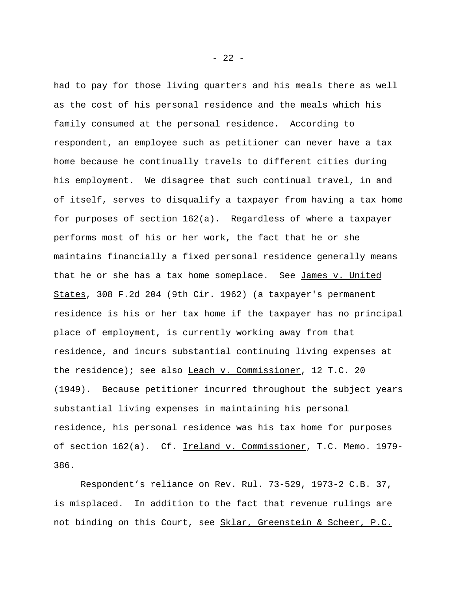had to pay for those living quarters and his meals there as well as the cost of his personal residence and the meals which his family consumed at the personal residence. According to respondent, an employee such as petitioner can never have a tax home because he continually travels to different cities during his employment. We disagree that such continual travel, in and of itself, serves to disqualify a taxpayer from having a tax home for purposes of section 162(a). Regardless of where a taxpayer performs most of his or her work, the fact that he or she maintains financially a fixed personal residence generally means that he or she has a tax home someplace. See James v. United States, 308 F.2d 204 (9th Cir. 1962) (a taxpayer's permanent residence is his or her tax home if the taxpayer has no principal place of employment, is currently working away from that residence, and incurs substantial continuing living expenses at the residence); see also Leach v. Commissioner, 12 T.C. 20 (1949). Because petitioner incurred throughout the subject years substantial living expenses in maintaining his personal residence, his personal residence was his tax home for purposes of section 162(a). Cf. Ireland v. Commissioner, T.C. Memo. 1979-386.

Respondent's reliance on Rev. Rul. 73-529, 1973-2 C.B. 37, is misplaced. In addition to the fact that revenue rulings are not binding on this Court, see Sklar, Greenstein & Scheer, P.C.

- 22 -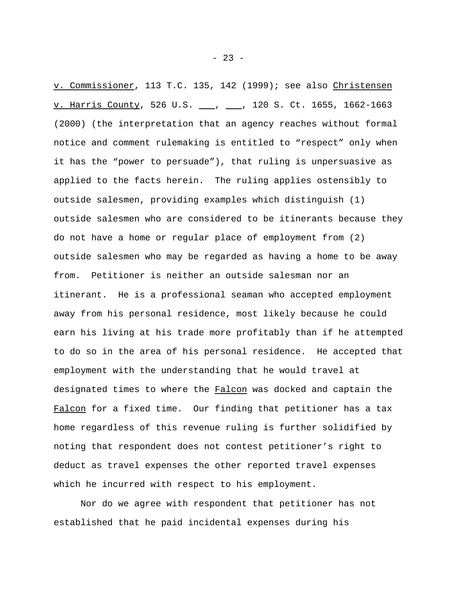v. Commissioner, 113 T.C. 135, 142 (1999); see also Christensen v. Harris County, 526 U.S. \_\_, \_\_, 120 S. Ct. 1655, 1662-1663 (2000) (the interpretation that an agency reaches without formal notice and comment rulemaking is entitled to "respect" only when it has the "power to persuade"), that ruling is unpersuasive as applied to the facts herein. The ruling applies ostensibly to outside salesmen, providing examples which distinguish (1) outside salesmen who are considered to be itinerants because they do not have a home or regular place of employment from (2) outside salesmen who may be regarded as having a home to be away from. Petitioner is neither an outside salesman nor an itinerant. He is a professional seaman who accepted employment away from his personal residence, most likely because he could earn his living at his trade more profitably than if he attempted to do so in the area of his personal residence. He accepted that employment with the understanding that he would travel at designated times to where the Falcon was docked and captain the Falcon for a fixed time. Our finding that petitioner has a tax home regardless of this revenue ruling is further solidified by noting that respondent does not contest petitioner's right to deduct as travel expenses the other reported travel expenses which he incurred with respect to his employment.

Nor do we agree with respondent that petitioner has not established that he paid incidental expenses during his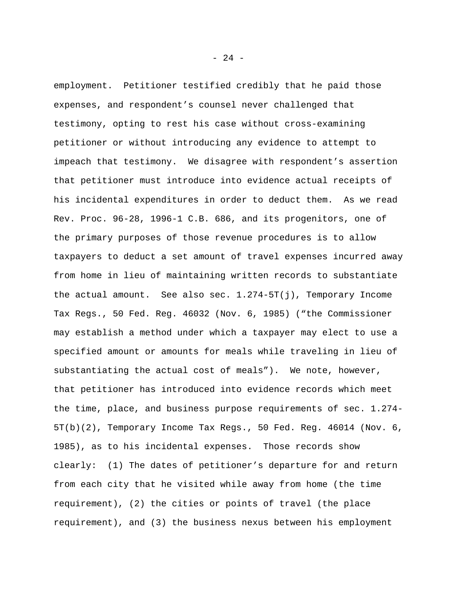employment. Petitioner testified credibly that he paid those expenses, and respondent's counsel never challenged that testimony, opting to rest his case without cross-examining petitioner or without introducing any evidence to attempt to impeach that testimony. We disagree with respondent's assertion that petitioner must introduce into evidence actual receipts of his incidental expenditures in order to deduct them. As we read Rev. Proc. 96-28, 1996-1 C.B. 686, and its progenitors, one of the primary purposes of those revenue procedures is to allow taxpayers to deduct a set amount of travel expenses incurred away from home in lieu of maintaining written records to substantiate the actual amount. See also sec. 1.274-5T(j), Temporary Income Tax Regs., 50 Fed. Reg. 46032 (Nov. 6, 1985) ("the Commissioner may establish a method under which a taxpayer may elect to use a specified amount or amounts for meals while traveling in lieu of substantiating the actual cost of meals"). We note, however, that petitioner has introduced into evidence records which meet the time, place, and business purpose requirements of sec. 1.274- 5T(b)(2), Temporary Income Tax Regs., 50 Fed. Reg. 46014 (Nov. 6, 1985), as to his incidental expenses. Those records show clearly: (1) The dates of petitioner's departure for and return from each city that he visited while away from home (the time requirement), (2) the cities or points of travel (the place requirement), and (3) the business nexus between his employment

- 24 -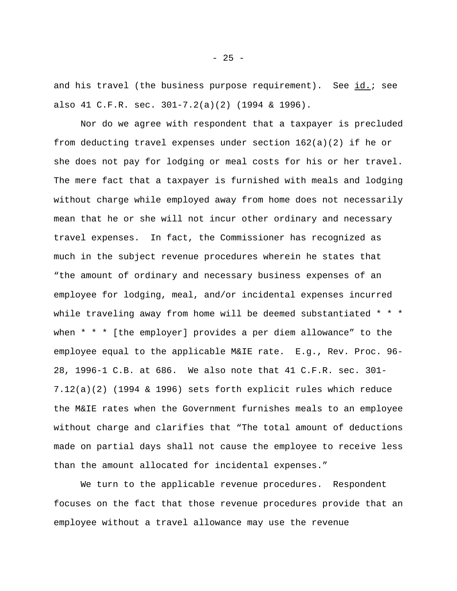and his travel (the business purpose requirement). See id.; see also 41 C.F.R. sec. 301-7.2(a)(2) (1994 & 1996).

Nor do we agree with respondent that a taxpayer is precluded from deducting travel expenses under section 162(a)(2) if he or she does not pay for lodging or meal costs for his or her travel. The mere fact that a taxpayer is furnished with meals and lodging without charge while employed away from home does not necessarily mean that he or she will not incur other ordinary and necessary travel expenses. In fact, the Commissioner has recognized as much in the subject revenue procedures wherein he states that "the amount of ordinary and necessary business expenses of an employee for lodging, meal, and/or incidental expenses incurred while traveling away from home will be deemed substantiated \* \* \* when \* \* \* [the employer] provides a per diem allowance" to the employee equal to the applicable M&IE rate. E.g., Rev. Proc. 96- 28, 1996-1 C.B. at 686. We also note that 41 C.F.R. sec. 301- 7.12(a)(2) (1994 & 1996) sets forth explicit rules which reduce the M&IE rates when the Government furnishes meals to an employee without charge and clarifies that "The total amount of deductions made on partial days shall not cause the employee to receive less than the amount allocated for incidental expenses."

We turn to the applicable revenue procedures. Respondent focuses on the fact that those revenue procedures provide that an employee without a travel allowance may use the revenue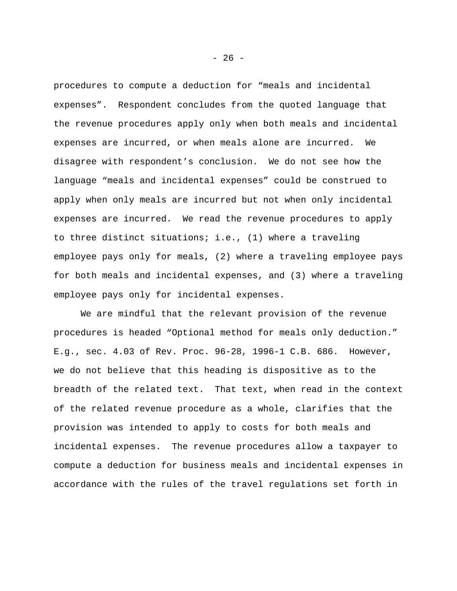procedures to compute a deduction for "meals and incidental expenses". Respondent concludes from the quoted language that the revenue procedures apply only when both meals and incidental expenses are incurred, or when meals alone are incurred. We disagree with respondent's conclusion. We do not see how the language "meals and incidental expenses" could be construed to apply when only meals are incurred but not when only incidental expenses are incurred. We read the revenue procedures to apply to three distinct situations; i.e., (1) where a traveling employee pays only for meals, (2) where a traveling employee pays for both meals and incidental expenses, and (3) where a traveling employee pays only for incidental expenses.

We are mindful that the relevant provision of the revenue procedures is headed "Optional method for meals only deduction." E.g., sec. 4.03 of Rev. Proc. 96-28, 1996-1 C.B. 686. However, we do not believe that this heading is dispositive as to the breadth of the related text. That text, when read in the context of the related revenue procedure as a whole, clarifies that the provision was intended to apply to costs for both meals and incidental expenses. The revenue procedures allow a taxpayer to compute a deduction for business meals and incidental expenses in accordance with the rules of the travel regulations set forth in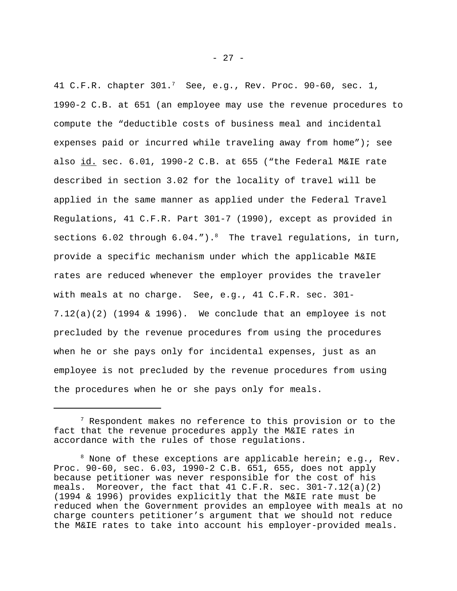41 C.F.R. chapter  $301.^7$  See, e.g., Rev. Proc. 90-60, sec. 1, 1990-2 C.B. at 651 (an employee may use the revenue procedures to compute the "deductible costs of business meal and incidental expenses paid or incurred while traveling away from home"); see also id. sec. 6.01, 1990-2 C.B. at 655 ("the Federal M&IE rate described in section 3.02 for the locality of travel will be applied in the same manner as applied under the Federal Travel Regulations, 41 C.F.R. Part 301-7 (1990), except as provided in sections  $6.02$  through  $6.04."$ ).<sup>8</sup> The travel regulations, in turn, provide a specific mechanism under which the applicable M&IE rates are reduced whenever the employer provides the traveler with meals at no charge. See, e.g., 41 C.F.R. sec. 301-  $7.12(a)(2)$  (1994 & 1996). We conclude that an employee is not precluded by the revenue procedures from using the procedures when he or she pays only for incidental expenses, just as an employee is not precluded by the revenue procedures from using the procedures when he or she pays only for meals.

 $7$  Respondent makes no reference to this provision or to the fact that the revenue procedures apply the M&IE rates in accordance with the rules of those regulations.

 $8$  None of these exceptions are applicable herein; e.g., Rev. Proc. 90-60, sec. 6.03, 1990-2 C.B. 651, 655, does not apply because petitioner was never responsible for the cost of his meals. Moreover, the fact that  $41 \, \text{C.F.R.}$  sec.  $301-7.12(a)(2)$ (1994 & 1996) provides explicitly that the M&IE rate must be reduced when the Government provides an employee with meals at no charge counters petitioner's argument that we should not reduce the M&IE rates to take into account his employer-provided meals.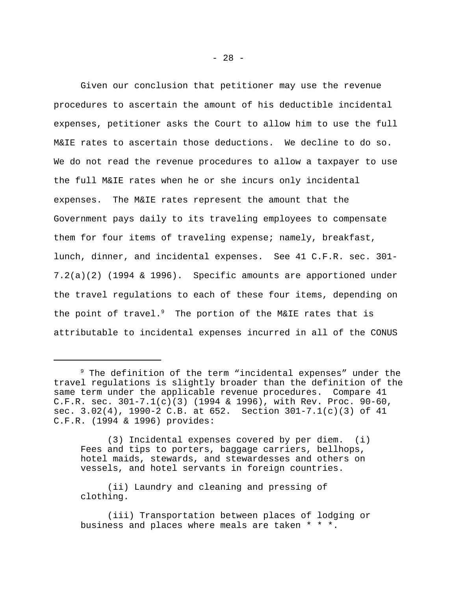Given our conclusion that petitioner may use the revenue procedures to ascertain the amount of his deductible incidental expenses, petitioner asks the Court to allow him to use the full M&IE rates to ascertain those deductions. We decline to do so. We do not read the revenue procedures to allow a taxpayer to use the full M&IE rates when he or she incurs only incidental expenses. The M&IE rates represent the amount that the Government pays daily to its traveling employees to compensate them for four items of traveling expense; namely, breakfast, lunch, dinner, and incidental expenses. See 41 C.F.R. sec. 301- 7.2(a)(2) (1994 & 1996). Specific amounts are apportioned under the travel regulations to each of these four items, depending on the point of travel. $9$  The portion of the M&IE rates that is attributable to incidental expenses incurred in all of the CONUS

(3) Incidental expenses covered by per diem. (i) Fees and tips to porters, baggage carriers, bellhops, hotel maids, stewards, and stewardesses and others on vessels, and hotel servants in foreign countries.

(ii) Laundry and cleaning and pressing of clothing.

(iii) Transportation between places of lodging or business and places where meals are taken \* \* \*.

<sup>&</sup>lt;sup>9</sup> The definition of the term "incidental expenses" under the travel regulations is slightly broader than the definition of the same term under the applicable revenue procedures. Compare 41 C.F.R. sec. 301-7.1(c)(3) (1994 & 1996), with Rev. Proc. 90-60, sec. 3.02(4), 1990-2 C.B. at 652. Section 301-7.1(c)(3) of 41 C.F.R. (1994 & 1996) provides: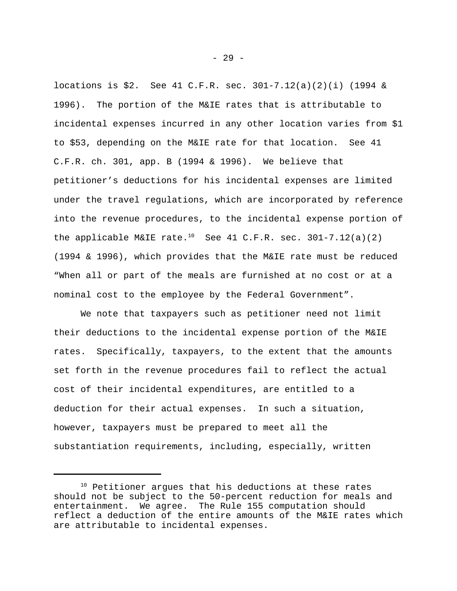locations is \$2. See 41 C.F.R. sec. 301-7.12(a)(2)(i) (1994 & 1996). The portion of the M&IE rates that is attributable to incidental expenses incurred in any other location varies from \$1 to \$53, depending on the M&IE rate for that location. See 41 C.F.R. ch. 301, app. B (1994 & 1996). We believe that petitioner's deductions for his incidental expenses are limited under the travel regulations, which are incorporated by reference into the revenue procedures, to the incidental expense portion of the applicable M&IE rate.<sup>10</sup> See 41 C.F.R. sec. 301-7.12(a)(2) (1994 & 1996), which provides that the M&IE rate must be reduced "When all or part of the meals are furnished at no cost or at a nominal cost to the employee by the Federal Government".

We note that taxpayers such as petitioner need not limit their deductions to the incidental expense portion of the M&IE rates. Specifically, taxpayers, to the extent that the amounts set forth in the revenue procedures fail to reflect the actual cost of their incidental expenditures, are entitled to a deduction for their actual expenses. In such a situation, however, taxpayers must be prepared to meet all the substantiation requirements, including, especially, written

<sup>&</sup>lt;sup>10</sup> Petitioner argues that his deductions at these rates should not be subject to the 50-percent reduction for meals and entertainment. We agree. The Rule 155 computation should reflect a deduction of the entire amounts of the M&IE rates which are attributable to incidental expenses.